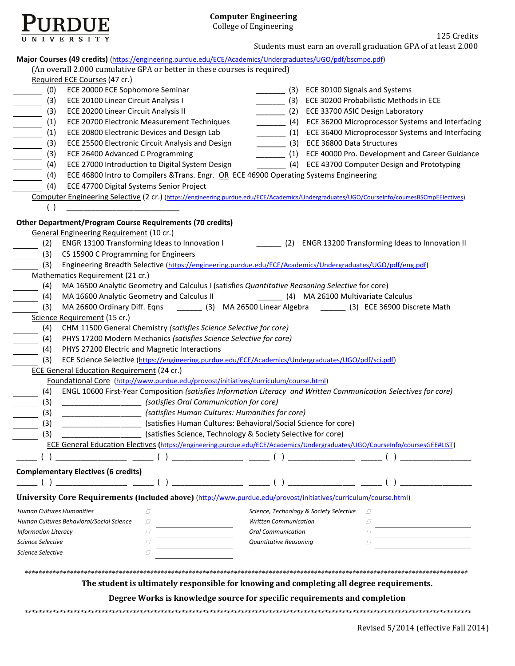

125 Credits Students must earn an overall graduation GPA of at least 2.000

| Major Courses (49 credits) (https://engineering.purdue.edu/ECE/Academics/Undergraduates/UGO/pdf/bscmpe.pdf)<br>(An overall 2.000 cumulative GPA or better in these courses is required) |                                         |                                                                 |
|-----------------------------------------------------------------------------------------------------------------------------------------------------------------------------------------|-----------------------------------------|-----------------------------------------------------------------|
| Required ECE Courses (47 cr.)                                                                                                                                                           |                                         |                                                                 |
| ECE 20000 ECE Sophomore Seminar<br>(0)                                                                                                                                                  |                                         | (3) ECE 30100 Signals and Systems                               |
| (3)<br>ECE 20100 Linear Circuit Analysis I                                                                                                                                              |                                         | _________ (3) ECE 30200 Probabilistic Methods in ECE            |
| ECE 20200 Linear Circuit Analysis II<br>(3)                                                                                                                                             |                                         | (2) ECE 33700 ASIC Design Laboratory                            |
| (1)<br>ECE 20700 Electronic Measurement Techniques                                                                                                                                      |                                         | __________ (4) ECE 36200 Microprocessor Systems and Interfacing |
| ECE 20800 Electronic Devices and Design Lab                                                                                                                                             |                                         | ________ (1) ECE 36400 Microprocessor Systems and Interfacing   |
| (1)<br>ECE 25500 Electronic Circuit Analysis and Design                                                                                                                                 |                                         | (3) ECE 36800 Data Structures                                   |
| (3)                                                                                                                                                                                     |                                         |                                                                 |
| ECE 26400 Advanced C Programming<br>(3)<br>ECE 27000 Introduction to Digital System Design                                                                                              |                                         | ________ (1) ECE 40000 Pro. Development and Career Guidance     |
| (4)                                                                                                                                                                                     |                                         | (4) ECE 43700 Computer Design and Prototyping                   |
| ECE 46800 Intro to Compilers & Trans. Engr. OR ECE 46900 Operating Systems Engineering<br>(4)                                                                                           |                                         |                                                                 |
| ECE 47700 Digital Systems Senior Project<br>(4)                                                                                                                                         |                                         |                                                                 |
| Computer Engineering Selective (2 cr.) (https://engineering.purdue.edu/ECE/Academics/Undergraduates/UGO/CourseInfo/coursesBSCmpEElectives)                                              |                                         |                                                                 |
| ( )                                                                                                                                                                                     |                                         |                                                                 |
| <b>Other Department/Program Course Requirements (70 credits)</b><br><b>General Engineering Requirement (10 cr.)</b>                                                                     |                                         |                                                                 |
| ENGR 13100 Transforming Ideas to Innovation I<br>(2)                                                                                                                                    |                                         | [2] ENGR 13200 Transforming Ideas to Innovation II              |
| (3) CS 15900 C Programming for Engineers                                                                                                                                                |                                         |                                                                 |
| Engineering Breadth Selective (https://engineering.purdue.edu/ECE/Academics/Undergraduates/UGO/pdf/eng.pdf)<br>(3)                                                                      |                                         |                                                                 |
| Mathematics Requirement (21 cr.)                                                                                                                                                        |                                         |                                                                 |
| MA 16500 Analytic Geometry and Calculus I (satisfies Quantitative Reasoning Selective for core)<br>(4)                                                                                  |                                         |                                                                 |
| MA 16600 Analytic Geometry and Calculus II (4) MA 26100 Multivariate Calculus<br>(4)                                                                                                    |                                         |                                                                 |
| MA 26600 Ordinary Diff. Eqns ________ (3) MA 26500 Linear Algebra ______ (3) ECE 36900 Discrete Math<br>(3)                                                                             |                                         |                                                                 |
| Science Requirement (15 cr.)                                                                                                                                                            |                                         |                                                                 |
| CHM 11500 General Chemistry (satisfies Science Selective for core)<br>(4)                                                                                                               |                                         |                                                                 |
| PHYS 17200 Modern Mechanics (satisfies Science Selective for core)<br>(4)                                                                                                               |                                         |                                                                 |
| (4)<br>PHYS 27200 Electric and Magnetic Interactions                                                                                                                                    |                                         |                                                                 |
| (3)<br>ECE Science Selective (https://engineering.purdue.edu/ECE/Academics/Undergraduates/UGO/pdf/sci.pdf)                                                                              |                                         |                                                                 |
| <b>ECE General Education Requirement (24 cr.)</b>                                                                                                                                       |                                         |                                                                 |
| Foundational Core (http://www.purdue.edu/provost/initiatives/curriculum/course.html)                                                                                                    |                                         |                                                                 |
| ENGL 10600 First-Year Composition (satisfies Information Literacy and Written Communication Selectives for core)<br>(4)                                                                 |                                         |                                                                 |
| (satisfies Oral Communication for core)<br>(3)                                                                                                                                          |                                         |                                                                 |
| _____________________ (satisfies Human Cultures: Humanities for core)<br>(3)                                                                                                            |                                         |                                                                 |
| (satisfies Human Cultures: Behavioral/Social Science for core)<br>(3)                                                                                                                   |                                         |                                                                 |
| (satisfies Science, Technology & Society Selective for core)<br>(3)                                                                                                                     |                                         |                                                                 |
| ECE General Education Electives (https://engineering.purdue.edu/ECE/Academics/Undergraduates/UGO/CourseInfo/coursesGEE#LIST)                                                            |                                         |                                                                 |
| $\begin{pmatrix} 1 & 1 & 1 \\ 1 & 1 & 1 \\ 1 & 1 & 1 \end{pmatrix}$                                                                                                                     |                                         |                                                                 |
|                                                                                                                                                                                         |                                         |                                                                 |
| <b>Complementary Electives (6 credits)</b>                                                                                                                                              |                                         |                                                                 |
|                                                                                                                                                                                         |                                         |                                                                 |
| University Core Requirements (included above) (http://www.purdue.edu/provost/initiatives/curriculum/course.html)                                                                        |                                         |                                                                 |
| <b>Human Cultures Humanities</b><br>0                                                                                                                                                   | Science, Technology & Society Selective |                                                                 |
| Human Cultures Behavioral/Social Science<br>$\sqrt{}$                                                                                                                                   | <b>Written Communication</b>            |                                                                 |
| <b>Information Literacy</b><br>$\varOmega$                                                                                                                                              | <b>Oral Communication</b>               |                                                                 |
| <b>Science Selective</b><br>$\sqrt{}$                                                                                                                                                   | <b>Quantitative Reasoning</b>           |                                                                 |
| <b>Science Selective</b><br>$\sqrt{}$                                                                                                                                                   |                                         |                                                                 |
|                                                                                                                                                                                         |                                         |                                                                 |
|                                                                                                                                                                                         |                                         |                                                                 |
| The student is ultimately responsible for knowing and completing all degree requirements.                                                                                               |                                         |                                                                 |
|                                                                                                                                                                                         |                                         |                                                                 |
| Degree Works is knowledge source for specific requirements and completion                                                                                                               |                                         |                                                                 |
|                                                                                                                                                                                         |                                         |                                                                 |